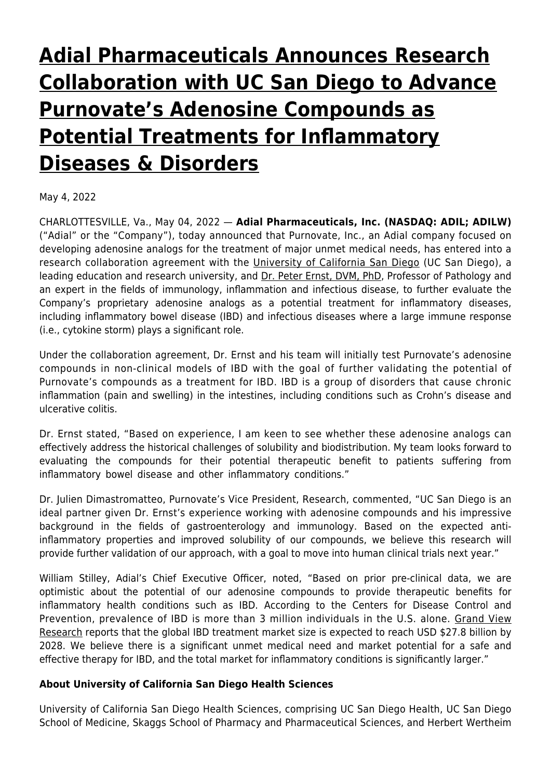# **[Adial Pharmaceuticals Announces Research](https://www.adial.com/adial-pharmaceuticals-announces-research-collaboration-with-uc-san-diego-to-advance-purnovates-adenosine-compounds-as-potential-treatments-for-inflammatory-diseases-disorders/) [Collaboration with UC San Diego to Advance](https://www.adial.com/adial-pharmaceuticals-announces-research-collaboration-with-uc-san-diego-to-advance-purnovates-adenosine-compounds-as-potential-treatments-for-inflammatory-diseases-disorders/) [Purnovate's Adenosine Compounds as](https://www.adial.com/adial-pharmaceuticals-announces-research-collaboration-with-uc-san-diego-to-advance-purnovates-adenosine-compounds-as-potential-treatments-for-inflammatory-diseases-disorders/) [Potential Treatments for Inflammatory](https://www.adial.com/adial-pharmaceuticals-announces-research-collaboration-with-uc-san-diego-to-advance-purnovates-adenosine-compounds-as-potential-treatments-for-inflammatory-diseases-disorders/) [Diseases & Disorders](https://www.adial.com/adial-pharmaceuticals-announces-research-collaboration-with-uc-san-diego-to-advance-purnovates-adenosine-compounds-as-potential-treatments-for-inflammatory-diseases-disorders/)**

May 4, 2022

CHARLOTTESVILLE, Va., May 04, 2022 — **Adial Pharmaceuticals, Inc. (NASDAQ: ADIL; ADILW)** ("Adial" or the "Company"), today announced that Purnovate, Inc., an Adial company focused on developing adenosine analogs for the treatment of major unmet medical needs, has entered into a research collaboration agreement with the [University of California San Diego](https://www.globenewswire.com/Tracker?data=b2qkWtG-NRo-dFLhmALan-69kfDqjtjJQDRDQn_HSW18ovyWP38lWjv5-PrDGXsDN2rTtFC1j7HV8wwsBHrwc8MkK93qlKZ6dydsTpa99Us=) (UC San Diego), a leading education and research university, and [Dr. Peter Ernst, DVM, PhD](https://www.globenewswire.com/Tracker?data=LurBij-wyoizjTUwV6r6bQfkr_Z3uCXI94iztEiFqNjh7SETy0hNzn4-24ZJsAw1tWBwP1E5WbmDstLz6OwdgZ3eqFNenknnrW9hKBL_5Q_x5Jh719GYyMY1amu92Y-n), Professor of Pathology and an expert in the fields of immunology, inflammation and infectious disease, to further evaluate the Company's proprietary adenosine analogs as a potential treatment for inflammatory diseases, including inflammatory bowel disease (IBD) and infectious diseases where a large immune response (i.e., cytokine storm) plays a significant role.

Under the collaboration agreement, Dr. Ernst and his team will initially test Purnovate's adenosine compounds in non-clinical models of IBD with the goal of further validating the potential of Purnovate's compounds as a treatment for IBD. IBD is a group of disorders that cause chronic inflammation (pain and swelling) in the intestines, including conditions such as Crohn's disease and ulcerative colitis.

Dr. Ernst stated, "Based on experience, I am keen to see whether these adenosine analogs can effectively address the historical challenges of solubility and biodistribution. My team looks forward to evaluating the compounds for their potential therapeutic benefit to patients suffering from inflammatory bowel disease and other inflammatory conditions."

Dr. Julien Dimastromatteo, Purnovate's Vice President, Research, commented, "UC San Diego is an ideal partner given Dr. Ernst's experience working with adenosine compounds and his impressive background in the fields of gastroenterology and immunology. Based on the expected antiinflammatory properties and improved solubility of our compounds, we believe this research will provide further validation of our approach, with a goal to move into human clinical trials next year."

William Stilley, Adial's Chief Executive Officer, noted, "Based on prior pre-clinical data, we are optimistic about the potential of our adenosine compounds to provide therapeutic benefits for inflammatory health conditions such as IBD. According to the Centers for Disease Control and Prevention, prevalence of IBD is more than 3 million individuals in the U.S. alone. [Grand View](https://www.globenewswire.com/Tracker?data=EtG8nfEHH0-JVikd05DrC0reS0STCLceH2oVPikzj_mbYlb35IH6i5q-Nm-vleDGCIK1wsgrROT6FMdDbBLTBd2711konpMDHjjOP4PF5x-C8TrKNC-Xb-8sTYJqeMZGIL9wYFjwBjn5viYu0d14GESYGBrsxfx_UTnRAtOqTBRlpxNAYazNOmw1pFp1wva22HKVs1OHj2thkf6sc-Py0zcveB2cypkuXp1GKOsdu2guwQUMTW3EPSCn2b836J3HvVACv3PONLowiyDnPI4PM-jidG2w-6syy1M6glQCjHiqByAdsQBmZY54DOL7Vy66UuPv9mTIupEeXEgeuB4G04JdkaQj0rIgzw3cyQjOLyklxf3cTTXhlTdl5ysO3p0J) [Research](https://www.globenewswire.com/Tracker?data=EtG8nfEHH0-JVikd05DrC0reS0STCLceH2oVPikzj_mbYlb35IH6i5q-Nm-vleDGCIK1wsgrROT6FMdDbBLTBd2711konpMDHjjOP4PF5x-C8TrKNC-Xb-8sTYJqeMZGIL9wYFjwBjn5viYu0d14GESYGBrsxfx_UTnRAtOqTBRlpxNAYazNOmw1pFp1wva22HKVs1OHj2thkf6sc-Py0zcveB2cypkuXp1GKOsdu2guwQUMTW3EPSCn2b836J3HvVACv3PONLowiyDnPI4PM-jidG2w-6syy1M6glQCjHiqByAdsQBmZY54DOL7Vy66UuPv9mTIupEeXEgeuB4G04JdkaQj0rIgzw3cyQjOLyklxf3cTTXhlTdl5ysO3p0J) reports that the global IBD treatment market size is expected to reach USD \$27.8 billion by 2028. We believe there is a significant unmet medical need and market potential for a safe and effective therapy for IBD, and the total market for inflammatory conditions is significantly larger."

## **About University of California San Diego Health Sciences**

University of California San Diego Health Sciences, comprising UC San Diego Health, UC San Diego School of Medicine, Skaggs School of Pharmacy and Pharmaceutical Sciences, and Herbert Wertheim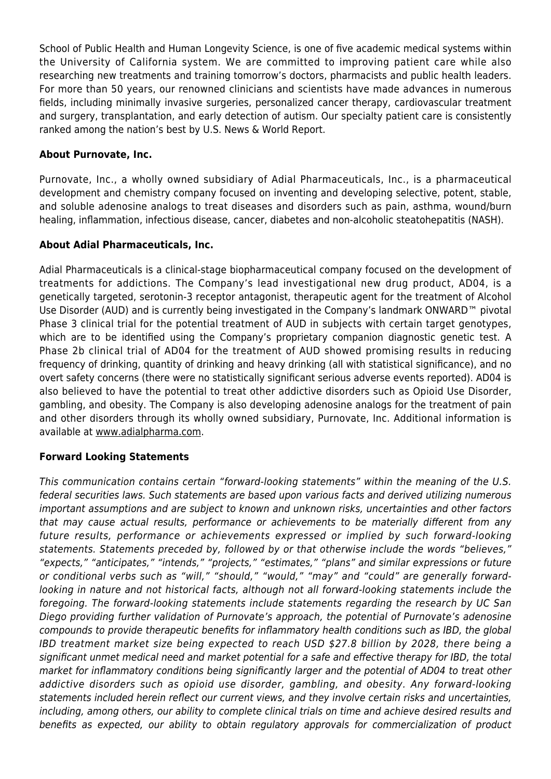School of Public Health and Human Longevity Science, is one of five academic medical systems within the University of California system. We are committed to improving patient care while also researching new treatments and training tomorrow's doctors, pharmacists and public health leaders. For more than 50 years, our renowned clinicians and scientists have made advances in numerous fields, including minimally invasive surgeries, personalized cancer therapy, cardiovascular treatment and surgery, transplantation, and early detection of autism. Our specialty patient care is consistently ranked among the nation's best by U.S. News & World Report.

### **About Purnovate, Inc.**

Purnovate, Inc., a wholly owned subsidiary of Adial Pharmaceuticals, Inc., is a pharmaceutical development and chemistry company focused on inventing and developing selective, potent, stable, and soluble adenosine analogs to treat diseases and disorders such as pain, asthma, wound/burn healing, inflammation, infectious disease, cancer, diabetes and non-alcoholic steatohepatitis (NASH).

#### **About Adial Pharmaceuticals, Inc.**

Adial Pharmaceuticals is a clinical-stage biopharmaceutical company focused on the development of treatments for addictions. The Company's lead investigational new drug product, AD04, is a genetically targeted, serotonin-3 receptor antagonist, therapeutic agent for the treatment of Alcohol Use Disorder (AUD) and is currently being investigated in the Company's landmark ONWARD™ pivotal Phase 3 clinical trial for the potential treatment of AUD in subjects with certain target genotypes, which are to be identified using the Company's proprietary companion diagnostic genetic test. A Phase 2b clinical trial of AD04 for the treatment of AUD showed promising results in reducing frequency of drinking, quantity of drinking and heavy drinking (all with statistical significance), and no overt safety concerns (there were no statistically significant serious adverse events reported). AD04 is also believed to have the potential to treat other addictive disorders such as Opioid Use Disorder, gambling, and obesity. The Company is also developing adenosine analogs for the treatment of pain and other disorders through its wholly owned subsidiary, Purnovate, Inc. Additional information is available at [www.adialpharma.com](https://www.globenewswire.com/Tracker?data=lsiAuDkKQxX24GDHN1a9bFf9s7weNaoqNIu664p5R1JWYhKcOUJTUvqxp6_AR--vHvAtzwz7-lHXH1LnIwMe0GPHOaRhbtLwJUGMg5DbyJg=).

#### **Forward Looking Statements**

This communication contains certain "forward-looking statements" within the meaning of the U.S. federal securities laws. Such statements are based upon various facts and derived utilizing numerous important assumptions and are subject to known and unknown risks, uncertainties and other factors that may cause actual results, performance or achievements to be materially different from any future results, performance or achievements expressed or implied by such forward-looking statements. Statements preceded by, followed by or that otherwise include the words "believes," "expects," "anticipates," "intends," "projects," "estimates," "plans" and similar expressions or future or conditional verbs such as "will," "should," "would," "may" and "could" are generally forwardlooking in nature and not historical facts, although not all forward-looking statements include the foregoing. The forward-looking statements include statements regarding the research by UC San Diego providing further validation of Purnovate's approach, the potential of Purnovate's adenosine compounds to provide therapeutic benefits for inflammatory health conditions such as IBD, the global IBD treatment market size being expected to reach USD \$27.8 billion by 2028, there being a significant unmet medical need and market potential for a safe and effective therapy for IBD, the total market for inflammatory conditions being significantly larger and the potential of AD04 to treat other addictive disorders such as opioid use disorder, gambling, and obesity. Any forward-looking statements included herein reflect our current views, and they involve certain risks and uncertainties, including, among others, our ability to complete clinical trials on time and achieve desired results and benefits as expected, our ability to obtain regulatory approvals for commercialization of product